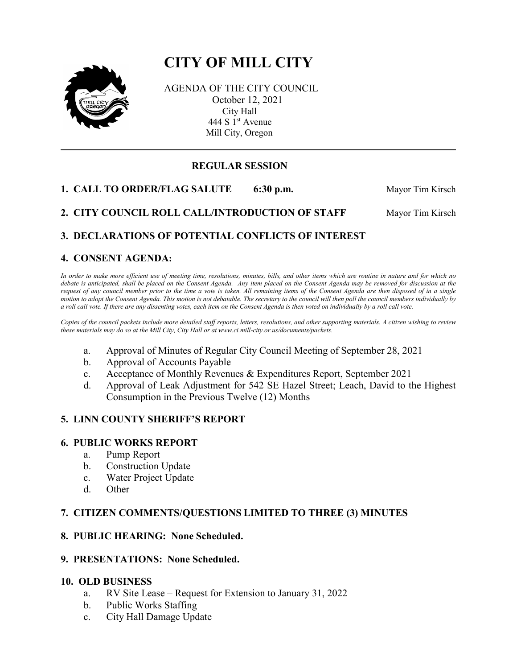# **CITY OF MILL CITY**



AGENDA OF THE CITY COUNCIL October 12, 2021 City Hall 444 S 1<sup>st</sup> Avenue Mill City, Oregon

# **REGULAR SESSION**

**1. CALL TO ORDER/FLAG SALUTE** 6:30 p.m. Mayor Tim Kirsch

2. CITY COUNCIL ROLL CALL/INTRODUCTION OF STAFF Mayor Tim Kirsch

# **3. DECLARATIONS OF POTENTIAL CONFLICTS OF INTEREST**

# **4. CONSENT AGENDA:**

*In order to make more efficient use of meeting time, resolutions, minutes, bills, and other items which are routine in nature and for which no debate is anticipated, shall be placed on the Consent Agenda. Any item placed on the Consent Agenda may be removed for discussion at the request of any council member prior to the time a vote is taken. All remaining items of the Consent Agenda are then disposed of in a single motion to adopt the Consent Agenda. This motion is not debatable. The secretary to the council will then poll the council members individually by a roll call vote. If there are any dissenting votes, each item on the Consent Agenda is then voted on individually by a roll call vote.*

*Copies of the council packets include more detailed staff reports, letters, resolutions, and other supporting materials. A citizen wishing to review these materials may do so at the Mill City, City Hall or at www.ci.mill-city.or.us/documents/packets.*

- a. Approval of Minutes of Regular City Council Meeting of September 28, 2021
- b. Approval of Accounts Payable
- c. Acceptance of Monthly Revenues & Expenditures Report, September 2021
- d. Approval of Leak Adjustment for 542 SE Hazel Street; Leach, David to the Highest Consumption in the Previous Twelve (12) Months

#### **5. LINN COUNTY SHERIFF'S REPORT**

#### **6. PUBLIC WORKS REPORT**

- a. Pump Report
- b. Construction Update
- c. Water Project Update
- d. Other

#### **7. CITIZEN COMMENTS/QUESTIONS LIMITED TO THREE (3) MINUTES**

#### **8. PUBLIC HEARING: None Scheduled.**

#### **9. PRESENTATIONS: None Scheduled.**

#### **10. OLD BUSINESS**

- a. RV Site Lease Request for Extension to January 31, 2022
- b. Public Works Staffing
- c. City Hall Damage Update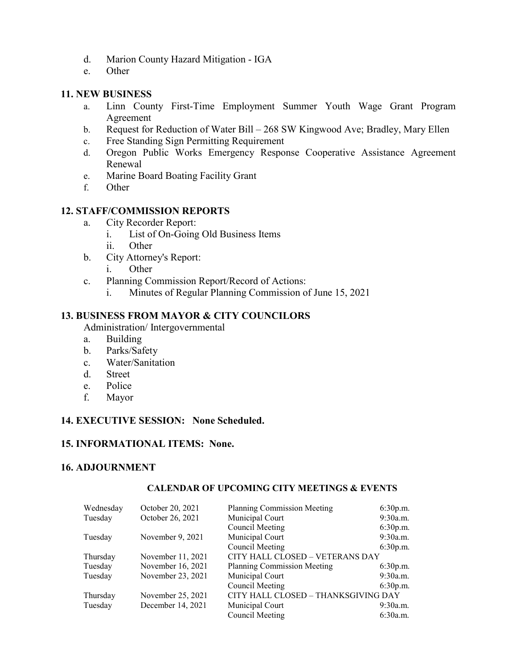- d. Marion County Hazard Mitigation IGA
- e. Other

## **11. NEW BUSINESS**

- a. Linn County First-Time Employment Summer Youth Wage Grant Program Agreement
- b. Request for Reduction of Water Bill 268 SW Kingwood Ave; Bradley, Mary Ellen
- c. Free Standing Sign Permitting Requirement
- d. Oregon Public Works Emergency Response Cooperative Assistance Agreement Renewal
- e. Marine Board Boating Facility Grant
- f. Other

# **12. STAFF/COMMISSION REPORTS**

- a. City Recorder Report:
	- i. List of On-Going Old Business Items
	- ii. Other
- b. City Attorney's Report:
	- i. Other
- c. Planning Commission Report/Record of Actions:
	- i. Minutes of Regular Planning Commission of June 15, 2021

### **13. BUSINESS FROM MAYOR & CITY COUNCILORS**

Administration/ Intergovernmental

- a. Building
- b. Parks/Safety
- c. Water/Sanitation
- d. Street
- e. Police
- f. Mayor

# **14. EXECUTIVE SESSION: None Scheduled.**

#### **15. INFORMATIONAL ITEMS: None.**

#### **16. ADJOURNMENT**

#### **CALENDAR OF UPCOMING CITY MEETINGS & EVENTS**

| Wednesday | October 20, 2021  | <b>Planning Commission Meeting</b>  | 6:30p.m. |
|-----------|-------------------|-------------------------------------|----------|
| Tuesday   | October 26, 2021  | Municipal Court                     | 9:30a.m. |
|           |                   | Council Meeting                     | 6:30p.m. |
| Tuesday   | November 9, 2021  | Municipal Court                     | 9:30a.m. |
|           |                   | <b>Council Meeting</b>              | 6:30p.m. |
| Thursday  | November 11, 2021 | CITY HALL CLOSED – VETERANS DAY     |          |
| Tuesday   | November 16, 2021 | <b>Planning Commission Meeting</b>  | 6:30p.m. |
| Tuesday   | November 23, 2021 | Municipal Court                     | 9:30a.m. |
|           |                   | Council Meeting                     | 6:30p.m. |
| Thursday  | November 25, 2021 | CITY HALL CLOSED - THANKSGIVING DAY |          |
| Tuesday   | December 14, 2021 | Municipal Court                     | 9:30a.m. |
|           |                   | Council Meeting                     | 6:30a.m. |